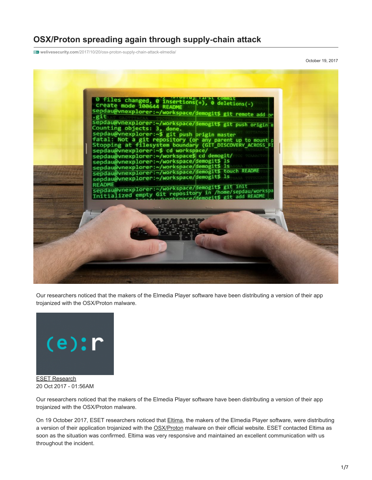# **OSX/Proton spreading again through supply**‑**chain attack**

**welivesecurity.com**[/2017/10/20/osx-proton-supply-chain-attack-elmedia/](https://www.welivesecurity.com/2017/10/20/osx-proton-supply-chain-attack-elmedia/)

October 19, 2017



Our researchers noticed that the makers of the Elmedia Player software have been distributing a version of their app trojanized with the OSX/Proton malware.



Our researchers noticed that the makers of the Elmedia Player software have been distributing a version of their app trojanized with the OSX/Proton malware.

On 19 October 2017, ESET researchers noticed that *[Eltima](https://www.eltima.com/)*, the makers of the Elmedia Player software, were distributing a version of their application trojanized with the [OSX/Proton](http://www.virusradar.com/en/OSX_Proton) malware on their official website. ESET contacted Eltima as soon as the situation was confirmed. Eltima was very responsive and maintained an excellent communication with us throughout the incident.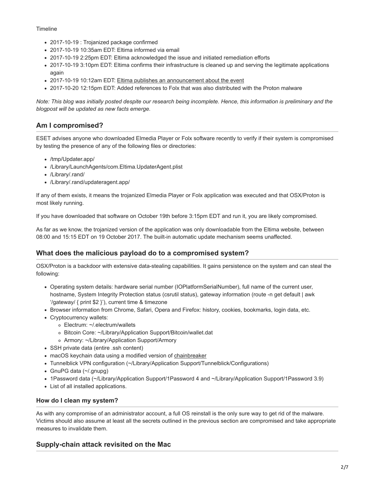#### Timeline

- 2017-10-19 : Trojanized package confirmed
- 2017-10-19 10:35am EDT: Eltima informed via email
- 2017-10-19 2:25pm EDT: Eltima acknowledged the issue and initiated remediation efforts
- 2017-10-19 3:10pm EDT: Eltima confirms their infrastructure is cleaned up and serving the legitimate applications again
- 2017-10-19 10:12am EDT: [Eltima publishes an announcement about the event](https://www.eltima.com/blog/2017/10/elmedia-player-and-folx-malware-threat-neutralized.html)
- 2017-10-20 12:15pm EDT: Added references to Folx that was also distributed with the Proton malware

*Note: This blog was initially posted despite our research being incomplete. Hence, this information is preliminary and the blogpost will be updated as new facts emerge.*

# **Am I compromised?**

ESET advises anyone who downloaded Elmedia Player or Folx software recently to verify if their system is compromised by testing the presence of any of the following files or directories:

- /tmp/Updater.app/
- /Library/LaunchAgents/com.Eltima.UpdaterAgent.plist
- /Library/.rand/
- /Library/.rand/updateragent.app/

If any of them exists, it means the trojanized Elmedia Player or Folx application was executed and that OSX/Proton is most likely running.

If you have downloaded that software on October 19th before 3:15pm EDT and run it, you are likely compromised.

As far as we know, the trojanized version of the application was only downloadable from the Eltima website, between 08:00 and 15:15 EDT on 19 October 2017. The built-in automatic update mechanism seems unaffected.

## **What does the malicious payload do to a compromised system?**

OSX/Proton is a backdoor with extensive data-stealing capabilities. It gains persistence on the system and can steal the following:

- Operating system details: hardware serial number (IOPlatformSerialNumber), full name of the current user, hostname, System Integrity Protection status (csrutil status), gateway information (route -n get default | awk '/gateway/ { print \$2 }'), current time & timezone
- Browser information from Chrome, Safari, Opera and Firefox: history, cookies, bookmarks, login data, etc.
- Cryptocurrency wallets:
	- Electrum: ~/.electrum/wallets
	- Bitcoin Core: ~/Library/Application Support/Bitcoin/wallet.dat
	- Armory: ~/Library/Application Support/Armory
- SSH private data (entire .ssh content)
- macOS keychain data using a modified version of [chainbreaker](https://github.com/n0fate/chainbreaker/)
- Tunnelblick VPN configuration (~/Library/Application Support/Tunnelblick/Configurations)
- GnuPG data (~/.gnupg)
- 1Password data (~/Library/Application Support/1Password 4 and ~/Library/Application Support/1Password 3.9)
- List of all installed applications.

#### **How do I clean my system?**

As with any compromise of an administrator account, a full OS reinstall is the only sure way to get rid of the malware. Victims should also assume at least all the secrets outlined in the previous section are compromised and take appropriate measures to invalidate them.

## **Supply-chain attack revisited on the Mac**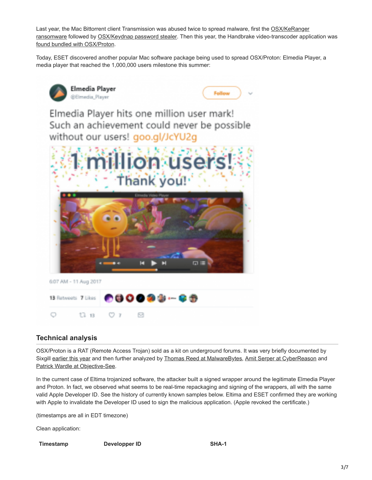[Last year, the Mac Bittorrent client Transmission was abused twice to spread malware, first the OSX/KeRanger](https://www.welivesecurity.com/2016/03/07/new-mac-ransomware-appears-keranger-spread-via-transmission-app/) ransomware followed by [OSX/Keydnap password stealer](https://www.welivesecurity.com/2016/08/30/osxkeydnap-spreads-via-signed-transmission-application/). Then this year, the Handbrake video-transcoder application was [found bundled with OSX/Proton](https://blog.malwarebytes.com/threat-analysis/mac-threat-analysis/2017/05/handbrake-hacked-to-drop-new-variant-of-proton-malware/).

Today, ESET discovered another popular Mac software package being used to spread OSX/Proton: Elmedia Player, a media player that reached the 1,000,000 users milestone this summer:



## **Technical analysis**

OSX/Proton is a RAT (Remote Access Trojan) sold as a kit on underground forums. It was very briefly documented by Sixgill [earlier this year](https://www.cybersixgill.com/proton-a-new-mac-os-rat/) and then further analyzed by [Thomas Reed at MalwareBytes](https://blog.malwarebytes.com/threat-analysis/mac-threat-analysis/2017/05/handbrake-hacked-to-drop-new-variant-of-proton-malware/), [Amit Serper at CyberReason](https://www.cybereason.com/labs-blog/labs-proton-b-what-this-mac-malware-actually-does) and [Patrick Wardle at Objective-See](https://objective-see.com/blog/blog_0x1F.html).

In the current case of Eltima trojanized software, the attacker built a signed wrapper around the legitimate Elmedia Player and Proton. In fact, we observed what seems to be real-time repackaging and signing of the wrappers, all with the same valid Apple Developer ID. See the history of currently known samples below. Eltima and ESET confirmed they are working with Apple to invalidate the Developer ID used to sign the malicious application. (Apple revoked the certificate.)

(timestamps are all in EDT timezone)

Clean application:

**Timestamp Developper ID SHA-1**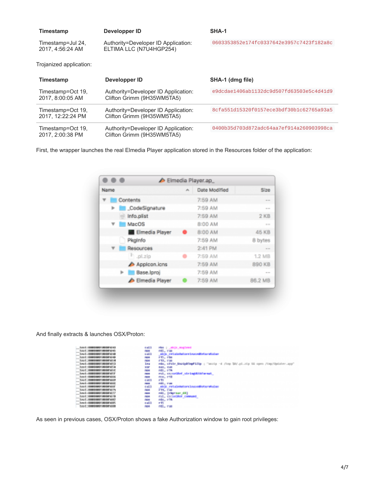| Timestamp                              | Developper ID                                                     | SHA-1                                    |
|----------------------------------------|-------------------------------------------------------------------|------------------------------------------|
| Timestamp=Jul 24,<br>2017, 4:56:24 AM  | Authority=Developer ID Application:<br>ELTIMA LLC (N7U4HGP254)    | 0603353852e174fc0337642e3957c7423f182a8c |
| Trojanized application:                |                                                                   |                                          |
| Timestamp                              | Developper ID                                                     | SHA-1 (dmg file)                         |
| Timestamp=Oct 19,<br>2017, 8:00:05 AM  | Authority=Developer ID Application:<br>Clifton Grimm (9H35WM5TA5) | e9dcdae1406ab1132dc9d507fd63503e5c4d41d9 |
| Timestamp=Oct 19,<br>2017. 12:22:24 PM | Authority=Developer ID Application:<br>Clifton Grimm (9H35WM5TA5) | 8cfa551d15320f0157ece3bdf30b1c62765a93a5 |
| Timestamp=Oct 19.<br>2017, 2:00:38 PM  | Authority=Developer ID Application:<br>Clifton Grimm (9H35WM5TA5) | 0400b35d703d872adc64aa7ef914a260903998ca |

First, the wrapper launches the real Elmedia Player application stored in the Resources folder of the application:

| Name |                    | alla . | <b>Date Modified</b> | <b>Size</b>     |
|------|--------------------|--------|----------------------|-----------------|
|      | Contents           |        | 7:59 AM              | <b>COLOR</b>    |
|      | CodeSignature      |        | 7:59 AM              | and sea         |
|      | Info.plist         |        | 7:59 AM              | 2 <sub>KB</sub> |
|      | <b>MacOS</b>       |        | 8:00 AM              | <b>COLOR</b>    |
|      | Ell Elmedia Player |        | 8:00 AM              | 45 KB           |
|      | Pkginfo            |        | 7:59 AM              | 8 bytes         |
|      | Resources          |        | 2:41 PM              | <b>COLOR</b>    |
|      | $P_{\perp}$ pl.zip |        | 7:59 AM              | <b>1.2 MB</b>   |
|      | Apploon.icns       |        | 7:59 AM              | 890 KB          |
| œ.   | Base.Iproj         |        | 7:59 AM              |                 |
|      | Elmedia Player     |        | 7:59 AM              | 86.2 MB         |

And finally extracts & launches OSX/Proton:

| <b>Territ-Googlesser assigned by</b>          | a altr<br>.                           | the public regions.                                                              |
|-----------------------------------------------|---------------------------------------|----------------------------------------------------------------------------------|
| 1xx1 10001000100801045<br>-                   | <b>College</b>                        | retti e pro-                                                                     |
| Level - Department modernicke<br>$\sim$       | 6,853                                 | state relatedstorelygordintereduce                                               |
| t met                                         | <b>September</b><br><b>The Common</b> | rti, che                                                                         |
| <b>Local Commenter measures</b><br>$\sim$     | <b>COMPANY</b>                        | <b>CIE, CHI</b>                                                                  |
| Lystadenters apparella<br>$\frac{1}{2}$       | 3.80                                  | rds, crute UnsighterFilms : "movie -d /two TAV_pl_ttp RA comm /tep/Diploter_app" |
| t met                                         | <b>TIME</b>                           | <b>CAT, FAR</b>                                                                  |
| Live Linkenhouse and at this<br>$\frac{1}{2}$ | <b>START</b>                          | <b>COLL CON</b>                                                                  |
| Louis Companies modernity                     | <b>In The</b>                         | rul, consider siringville musi                                                   |
| t mit                                         | <b>COMPOS</b>                         | <b>COL CNI</b>                                                                   |
| Text 1: 0000000000 000001660<br>$-$           | 6,800                                 | e ti                                                                             |
| teach-bookspoore programs.                    | <b>Sections</b>                       | rella con                                                                        |
| 12011100000010000005                          | 5400                                  | able retalistatore incontinteratal as                                            |
| Les L. Genevani i moderni i v                 | <b>COMPANY</b>                        | <b>FTEL FOR</b>                                                                  |
| <b>HOMESHED MOVED IT</b><br>t met             | <b>Service</b>                        | roll, (rhyrnar_dil)                                                              |
| typet: dealership addentity                   | <b>START</b>                          | rail consider common                                                             |
| <b>LEASED BACK THREE INC.</b><br>Les E        | <b>COMPANY</b>                        | rda, eta                                                                         |
| <b><i>INSTRUCTION CONTINUES</i></b><br>tmtt   | <b>BALL</b>                           | r#.                                                                              |
| The T. Leadership Contract County             | a provinci                            | reti e mun                                                                       |

As seen in previous cases, OSX/Proton shows a fake Authorization window to gain root privileges: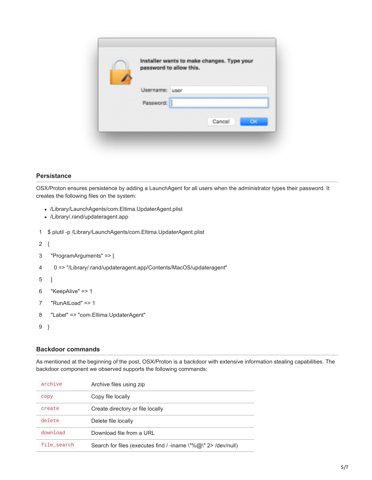| password to allow this. | Installer wants to make changes. Type your |           |
|-------------------------|--------------------------------------------|-----------|
|                         |                                            |           |
| Username: user          |                                            |           |
| Password:               |                                            |           |
|                         | Cancel                                     | <b>OK</b> |

#### **Persistance**

OSX/Proton ensures persistence by adding a LaunchAgent for all users when the administrator types their password. It creates the following files on the system:

- /Library/LaunchAgents/com.Eltima.UpdaterAgent.plist
- /Library/.rand/updateragent.app
- 1 \$ plutil -p /Library/LaunchAgents/com.Eltima.UpdaterAgent.plist
- 2 {

```
3
   "ProgramArguments" => [
```
- 4 0 => "/Library/.rand/updateragent.app/Contents/MacOS/updateragent"
- 5 ]

```
6
    "KeepAlive" => 1
```
- 7 "RunAtLoad" => 1
- 8 "Label" => "com.Eltima.UpdaterAgent"

```
9
}
```
#### **Backdoor commands**

As mentioned at the beginning of the post, OSX/Proton is a backdoor with extensive information stealing capabilities. The backdoor component we observed supports the following commands:

| archive     | Archive files using zip                                       |
|-------------|---------------------------------------------------------------|
| copy        | Copy file locally                                             |
| create      | Create directory or file locally                              |
| delete      | Delete file locally                                           |
| download    | Download file from a URI                                      |
| file search | Search for files (executes find / -iname \"%@\" 2> /dev/null) |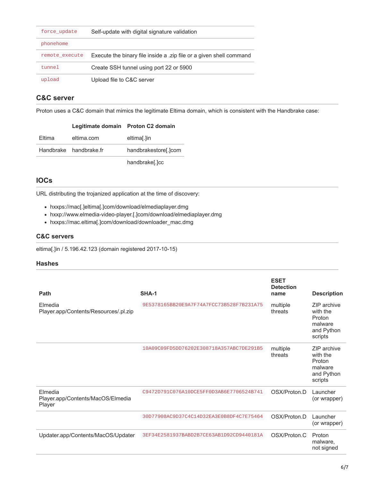| force_update   | Self-update with digital signature validation                       |
|----------------|---------------------------------------------------------------------|
| phonehome      |                                                                     |
| remote execute | Execute the binary file inside a .zip file or a given shell command |
| tunnel         | Create SSH tunnel using port 22 or 5900                             |
| upload         | Upload file to C&C server                                           |

# **C&C server**

Proton uses a C&C domain that mimics the legitimate Eltima domain, which is consistent with the Handbrake case:

|        | Legitimate domain Proton C2 domain |                      |
|--------|------------------------------------|----------------------|
| Eltima | eltima.com                         | eltimal.lin          |
|        | Handbrake handbrake.fr             | handbrakestore[.]com |
|        |                                    | handbrake[.]cc       |

# **IOCs**

URL distributing the trojanized application at the time of discovery:

- hxxps://mac[.]eltima[.]com/download/elmediaplayer.dmg
- hxxp://www.elmedia-video-player.[.]com/download/elmediaplayer.dmg
- hxxps://mac.eltima[.]com/download/downloader\_mac.dmg

### **C&C servers**

eltima[.]in / 5.196.42.123 (domain registered 2017-10-15)

### **Hashes**

| Path                                                   | SHA-1                                    | <b>ESET</b><br><b>Detection</b><br>name | <b>Description</b>                                                    |
|--------------------------------------------------------|------------------------------------------|-----------------------------------------|-----------------------------------------------------------------------|
| Elmedia<br>Player.app/Contents/Resources/.pl.zip       | 9E5378165BB20E9A7F74A7FCC73B528F7B231A75 | multiple<br>threats                     | ZIP archive<br>with the<br>Proton<br>malware<br>and Python<br>scripts |
|                                                        | 10A09C09FD5DD76202E308718A357ABC7DE291B5 | multiple<br>threats                     | ZIP archive<br>with the<br>Proton<br>malware<br>and Python<br>scripts |
| Elmedia<br>Player.app/Contents/MacOS/Elmedia<br>Player | C9472D791C076A10DCE5FF0D3AB6E7706524B741 | OSX/Proton.D                            | Launcher<br>(or wrapper)                                              |
|                                                        | 30D77908AC9D37C4C14D32EA3E0B8DF4C7E75464 | OSX/Proton.D                            | Launcher<br>(or wrapper)                                              |
| Updater.app/Contents/MacOS/Updater                     | 3EF34E2581937BABD2B7CE63AB1D92CD9440181A | OSX/Proton.C                            | Proton<br>malware,<br>not signed                                      |